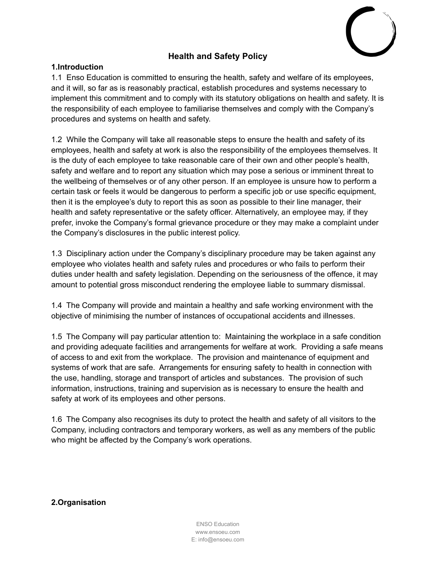

# **Health and Safety Policy**

#### **1.Introduction**

1.1 Enso Education is committed to ensuring the health, safety and welfare of its employees, and it will, so far as is reasonably practical, establish procedures and systems necessary to implement this commitment and to comply with its statutory obligations on health and safety. It is the responsibility of each employee to familiarise themselves and comply with the Company's procedures and systems on health and safety.

1.2 While the Company will take all reasonable steps to ensure the health and safety of its employees, health and safety at work is also the responsibility of the employees themselves. It is the duty of each employee to take reasonable care of their own and other people's health, safety and welfare and to report any situation which may pose a serious or imminent threat to the wellbeing of themselves or of any other person. If an employee is unsure how to perform a certain task or feels it would be dangerous to perform a specific job or use specific equipment, then it is the employee's duty to report this as soon as possible to their line manager, their health and safety representative or the safety officer. Alternatively, an employee may, if they prefer, invoke the Company's formal grievance procedure or they may make a complaint under the Company's disclosures in the public interest policy.

1.3 Disciplinary action under the Company's disciplinary procedure may be taken against any employee who violates health and safety rules and procedures or who fails to perform their duties under health and safety legislation. Depending on the seriousness of the offence, it may amount to potential gross misconduct rendering the employee liable to summary dismissal.

1.4 The Company will provide and maintain a healthy and safe working environment with the objective of minimising the number of instances of occupational accidents and illnesses.

1.5 The Company will pay particular attention to: Maintaining the workplace in a safe condition and providing adequate facilities and arrangements for welfare at work. Providing a safe means of access to and exit from the workplace. The provision and maintenance of equipment and systems of work that are safe. Arrangements for ensuring safety to health in connection with the use, handling, storage and transport of articles and substances. The provision of such information, instructions, training and supervision as is necessary to ensure the health and safety at work of its employees and other persons.

1.6 The Company also recognises its duty to protect the health and safety of all visitors to the Company, including contractors and temporary workers, as well as any members of the public who might be affected by the Company's work operations.

**2.Organisation**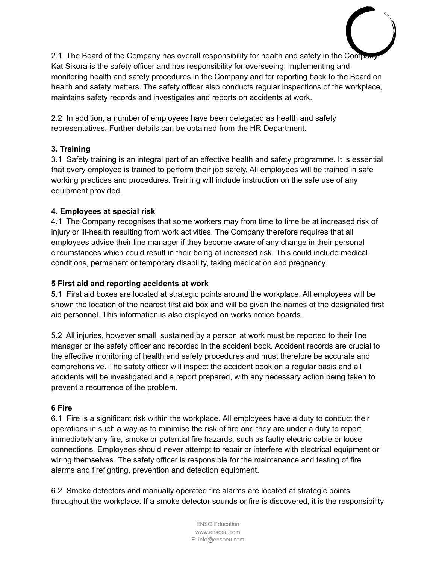2.1 The Board of the Company has overall responsibility for health and safety in the Company Kat Sikora is the safety officer and has responsibility for overseeing, implementing and monitoring health and safety procedures in the Company and for reporting back to the Board on health and safety matters. The safety officer also conducts regular inspections of the workplace, maintains safety records and investigates and reports on accidents at work.

2.2 In addition, a number of employees have been delegated as health and safety representatives. Further details can be obtained from the HR Department.

## **3. Training**

3.1 Safety training is an integral part of an effective health and safety programme. It is essential that every employee is trained to perform their job safely. All employees will be trained in safe working practices and procedures. Training will include instruction on the safe use of any equipment provided.

## **4. Employees at special risk**

4.1 The Company recognises that some workers may from time to time be at increased risk of injury or ill-health resulting from work activities. The Company therefore requires that all employees advise their line manager if they become aware of any change in their personal circumstances which could result in their being at increased risk. This could include medical conditions, permanent or temporary disability, taking medication and pregnancy.

## **5 First aid and reporting accidents at work**

5.1 First aid boxes are located at strategic points around the workplace. All employees will be shown the location of the nearest first aid box and will be given the names of the designated first aid personnel. This information is also displayed on works notice boards.

5.2 All injuries, however small, sustained by a person at work must be reported to their line manager or the safety officer and recorded in the accident book. Accident records are crucial to the effective monitoring of health and safety procedures and must therefore be accurate and comprehensive. The safety officer will inspect the accident book on a regular basis and all accidents will be investigated and a report prepared, with any necessary action being taken to prevent a recurrence of the problem.

## **6 Fire**

6.1 Fire is a significant risk within the workplace. All employees have a duty to conduct their operations in such a way as to minimise the risk of fire and they are under a duty to report immediately any fire, smoke or potential fire hazards, such as faulty electric cable or loose connections. Employees should never attempt to repair or interfere with electrical equipment or wiring themselves. The safety officer is responsible for the maintenance and testing of fire alarms and firefighting, prevention and detection equipment.

6.2 Smoke detectors and manually operated fire alarms are located at strategic points throughout the workplace. If a smoke detector sounds or fire is discovered, it is the responsibility

> ENSO Education www.ensoeu.com E: info@ensoeu.com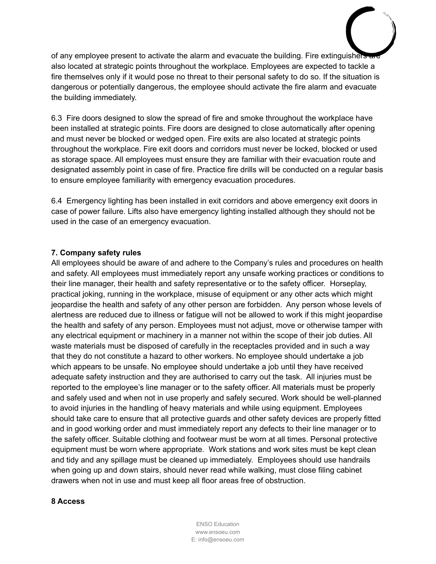of any employee present to activate the alarm and evacuate the building. Fire extinguishers are also located at strategic points throughout the workplace. Employees are expected to tackle a fire themselves only if it would pose no threat to their personal safety to do so. If the situation is dangerous or potentially dangerous, the employee should activate the fire alarm and evacuate the building immediately.

6.3 Fire doors designed to slow the spread of fire and smoke throughout the workplace have been installed at strategic points. Fire doors are designed to close automatically after opening and must never be blocked or wedged open. Fire exits are also located at strategic points throughout the workplace. Fire exit doors and corridors must never be locked, blocked or used as storage space. All employees must ensure they are familiar with their evacuation route and designated assembly point in case of fire. Practice fire drills will be conducted on a regular basis to ensure employee familiarity with emergency evacuation procedures.

6.4 Emergency lighting has been installed in exit corridors and above emergency exit doors in case of power failure. Lifts also have emergency lighting installed although they should not be used in the case of an emergency evacuation.

#### **7. Company safety rules**

All employees should be aware of and adhere to the Company's rules and procedures on health and safety. All employees must immediately report any unsafe working practices or conditions to their line manager, their health and safety representative or to the safety officer. Horseplay, practical joking, running in the workplace, misuse of equipment or any other acts which might jeopardise the health and safety of any other person are forbidden. Any person whose levels of alertness are reduced due to illness or fatigue will not be allowed to work if this might jeopardise the health and safety of any person. Employees must not adjust, move or otherwise tamper with any electrical equipment or machinery in a manner not within the scope of their job duties. All waste materials must be disposed of carefully in the receptacles provided and in such a way that they do not constitute a hazard to other workers. No employee should undertake a job which appears to be unsafe. No employee should undertake a job until they have received adequate safety instruction and they are authorised to carry out the task. All injuries must be reported to the employee's line manager or to the safety officer. All materials must be properly and safely used and when not in use properly and safely secured. Work should be well-planned to avoid injuries in the handling of heavy materials and while using equipment. Employees should take care to ensure that all protective guards and other safety devices are properly fitted and in good working order and must immediately report any defects to their line manager or to the safety officer. Suitable clothing and footwear must be worn at all times. Personal protective equipment must be worn where appropriate. Work stations and work sites must be kept clean and tidy and any spillage must be cleaned up immediately. Employees should use handrails when going up and down stairs, should never read while walking, must close filing cabinet drawers when not in use and must keep all floor areas free of obstruction.

#### **8 Access**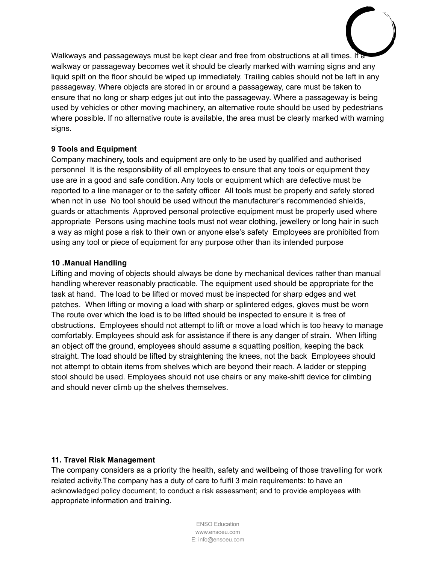Walkways and passageways must be kept clear and free from obstructions at all times. If a walkway or passageway becomes wet it should be clearly marked with warning signs and any liquid spilt on the floor should be wiped up immediately. Trailing cables should not be left in any passageway. Where objects are stored in or around a passageway, care must be taken to ensure that no long or sharp edges jut out into the passageway. Where a passageway is being used by vehicles or other moving machinery, an alternative route should be used by pedestrians where possible. If no alternative route is available, the area must be clearly marked with warning signs.

## **9 Tools and Equipment**

Company machinery, tools and equipment are only to be used by qualified and authorised personnel It is the responsibility of all employees to ensure that any tools or equipment they use are in a good and safe condition. Any tools or equipment which are defective must be reported to a line manager or to the safety officer All tools must be properly and safely stored when not in use No tool should be used without the manufacturer's recommended shields, guards or attachments Approved personal protective equipment must be properly used where appropriate Persons using machine tools must not wear clothing, jewellery or long hair in such a way as might pose a risk to their own or anyone else's safety Employees are prohibited from using any tool or piece of equipment for any purpose other than its intended purpose

#### **10 .Manual Handling**

Lifting and moving of objects should always be done by mechanical devices rather than manual handling wherever reasonably practicable. The equipment used should be appropriate for the task at hand. The load to be lifted or moved must be inspected for sharp edges and wet patches. When lifting or moving a load with sharp or splintered edges, gloves must be worn The route over which the load is to be lifted should be inspected to ensure it is free of obstructions. Employees should not attempt to lift or move a load which is too heavy to manage comfortably. Employees should ask for assistance if there is any danger of strain. When lifting an object off the ground, employees should assume a squatting position, keeping the back straight. The load should be lifted by straightening the knees, not the back Employees should not attempt to obtain items from shelves which are beyond their reach. A ladder or stepping stool should be used. Employees should not use chairs or any make-shift device for climbing and should never climb up the shelves themselves.

## **11. Travel Risk Management**

The company considers as a priority the health, safety and wellbeing of those travelling for work related activity.The company has a duty of care to fulfil 3 main requirements: to have an acknowledged policy document; to conduct a risk assessment; and to provide employees with appropriate information and training.

> ENSO Education www.ensoeu.com E: info@ensoeu.com